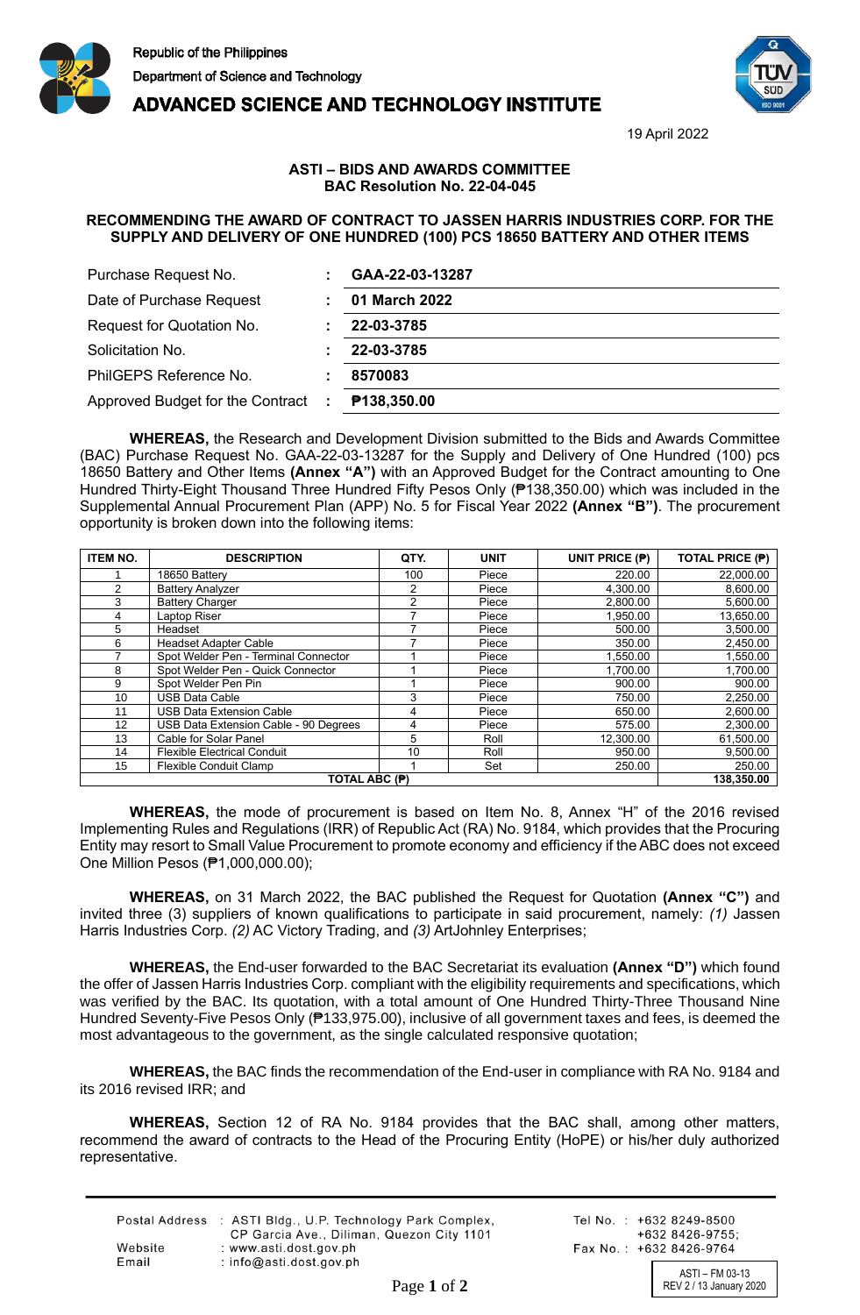





19 April 2022

## **ASTI – BIDS AND AWARDS COMMITTEE BAC Resolution No. 22-04-045**

## **RECOMMENDING THE AWARD OF CONTRACT TO JASSEN HARRIS INDUSTRIES CORP. FOR THE SUPPLY AND DELIVERY OF ONE HUNDRED (100) PCS 18650 BATTERY AND OTHER ITEMS**

| Purchase Request No.             |   | GAA-22-03-13287 |
|----------------------------------|---|-----------------|
| Date of Purchase Request         |   | 01 March 2022   |
| Request for Quotation No.        |   | 22-03-3785      |
| Solicitation No.                 |   | 22-03-3785      |
| PhilGEPS Reference No.           |   | 8570083         |
| Approved Budget for the Contract | ÷ | P138,350.00     |

**WHEREAS,** the Research and Development Division submitted to the Bids and Awards Committee (BAC) Purchase Request No. GAA-22-03-13287 for the Supply and Delivery of One Hundred (100) pcs 18650 Battery and Other Items **(Annex "A")** with an Approved Budget for the Contract amounting to One Hundred Thirty-Eight Thousand Three Hundred Fifty Pesos Only (₱138,350.00) which was included in the Supplemental Annual Procurement Plan (APP) No. 5 for Fiscal Year 2022 **(Annex "B")**. The procurement opportunity is broken down into the following items:

| <b>ITEM NO.</b> | <b>DESCRIPTION</b>                    | QTY. | <b>UNIT</b> | UNIT PRICE (P) | TOTAL PRICE (P) |
|-----------------|---------------------------------------|------|-------------|----------------|-----------------|
|                 | 18650 Battery                         | 100  | Piece       | 220.00         | 22,000.00       |
| 2               | <b>Battery Analyzer</b>               |      | Piece       | 4.300.00       | 8,600.00        |
| 3               | <b>Battery Charger</b>                | 2    | Piece       | 2.800.00       | 5,600.00        |
| 4               | Laptop Riser                          |      | Piece       | 1,950.00       | 13,650.00       |
| 5               | Headset                               |      | Piece       | 500.00         | 3,500.00        |
| 6               | <b>Headset Adapter Cable</b>          |      | Piece       | 350.00         | 2,450.00        |
|                 | Spot Welder Pen - Terminal Connector  |      | Piece       | 1,550.00       | 1,550.00        |
| 8               | Spot Welder Pen - Quick Connector     |      | Piece       | 1.700.00       | 1,700.00        |
| 9               | Spot Welder Pen Pin                   |      | Piece       | 900.00         | 900.00          |
| 10              | USB Data Cable                        | 3    | Piece       | 750.00         | 2,250.00        |
| 11              | <b>USB Data Extension Cable</b>       | 4    | Piece       | 650.00         | 2,600.00        |
| 12              | USB Data Extension Cable - 90 Degrees | 4    | Piece       | 575.00         | 2,300.00        |
| 13              | Cable for Solar Panel                 | 5    | Roll        | 12,300.00      | 61,500.00       |
| 14              | <b>Flexible Electrical Conduit</b>    | 10   | Roll        | 950.00         | 9,500.00        |
| 15              | Flexible Conduit Clamp                |      | Set         | 250.00         | 250.00          |
| TOTAL ABC (P)   |                                       |      |             |                | 138.350.00      |

**WHEREAS,** the mode of procurement is based on Item No. 8, Annex "H" of the 2016 revised Implementing Rules and Regulations (IRR) of Republic Act (RA) No. 9184, which provides that the Procuring Entity may resort to Small Value Procurement to promote economy and efficiency if the ABC does not exceed One Million Pesos (₱1,000,000.00);

**WHEREAS,** on 31 March 2022, the BAC published the Request for Quotation **(Annex "C")** and invited three (3) suppliers of known qualifications to participate in said procurement, namely: *(1)* Jassen Harris Industries Corp. *(2)* AC Victory Trading, and *(3)* ArtJohnley Enterprises;

**WHEREAS,** the End-user forwarded to the BAC Secretariat its evaluation **(Annex "D")** which found the offer of Jassen Harris Industries Corp. compliant with the eligibility requirements and specifications, which was verified by the BAC. Its quotation, with a total amount of One Hundred Thirty-Three Thousand Nine Hundred Seventy-Five Pesos Only (₱133,975.00), inclusive of all government taxes and fees, is deemed the most advantageous to the government, as the single calculated responsive quotation;

**WHEREAS,** the BAC finds the recommendation of the End-user in compliance with RA No. 9184 and its 2016 revised IRR; and

**WHEREAS,** Section 12 of RA No. 9184 provides that the BAC shall, among other matters, recommend the award of contracts to the Head of the Procuring Entity (HoPE) or his/her duly authorized representative.

|         | Postal Address : ASTI Bldg., U.P. Technology Park Complex, |
|---------|------------------------------------------------------------|
|         | CP Garcia Ave., Diliman, Quezon City 1101                  |
| Website | : www.asti.dost.gov.ph                                     |
| Email   | : $info@asti.dost.aov.sh$                                  |
|         |                                                            |

Tel No.: +632 8249-8500 +632 8426-9755: Fax No.: +632 8426-9764

ASTI – FM 03-13 Page 1 of 2 REV 2 / 13 January 2020